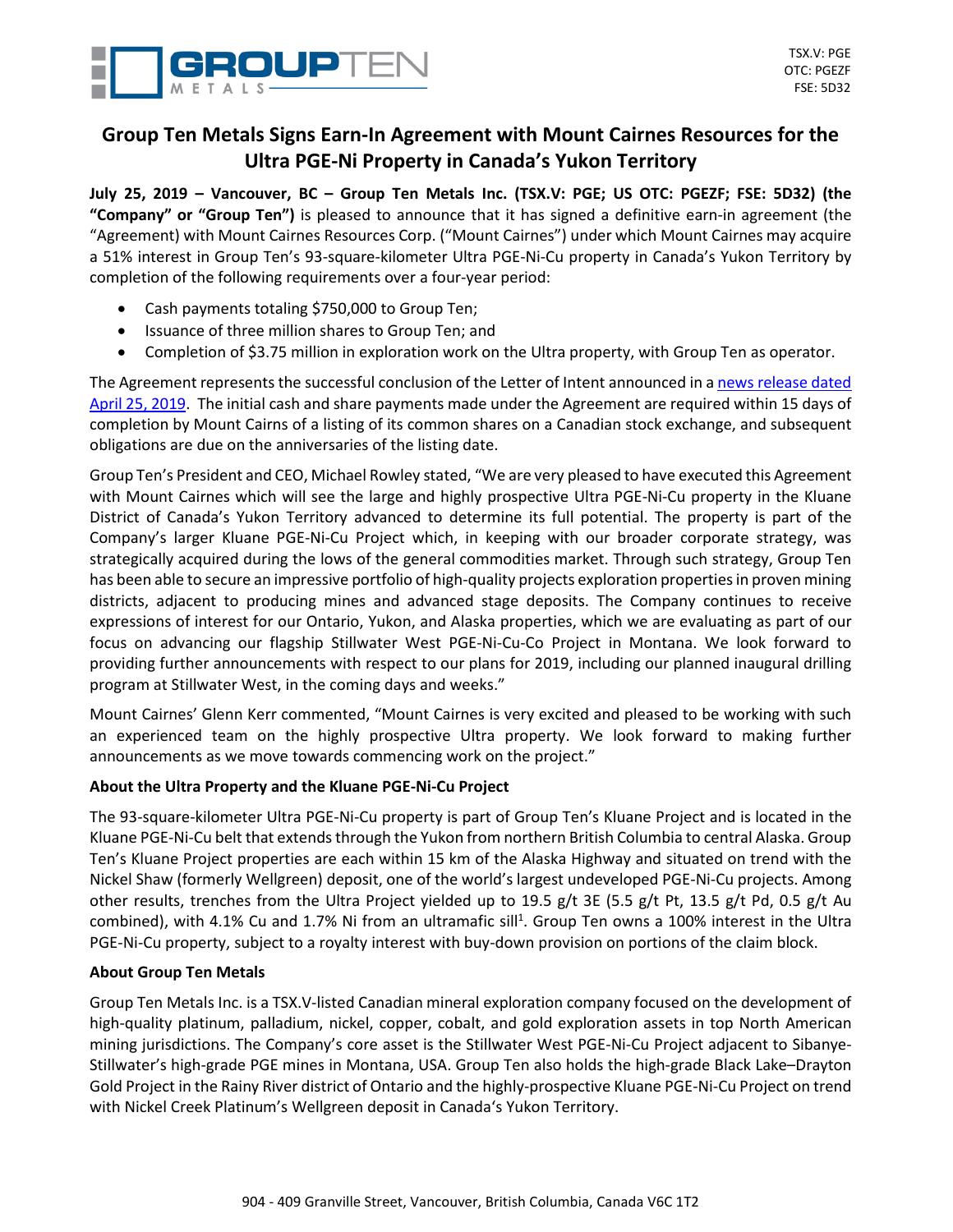

# **Group Ten Metals Signs Earn-In Agreement with Mount Cairnes Resources for the Ultra PGE-Ni Property in Canada's Yukon Territory**

July 25, 2019 - Vancouver, BC - Group Ten Metals Inc. (TSX.V: PGE; US OTC: PGEZF; FSE: 5D32) (the **"Company" or "Group Ten")** is pleased to announce that it has signed a definitive earn-in agreement (the "Agreement) with Mount Cairnes Resources Corp. ("Mount Cairnes") under which Mount Cairnes may acquire a 51% interest in Group Ten's 93-square-kilometer Ultra PGE-Ni-Cu property in Canada's Yukon Territory by completion of the following requirements over a four-year period:

- Cash payments totaling \$750,000 to Group Ten;
- Issuance of three million shares to Group Ten; and
- Completion of \$3.75 million in exploration work on the Ultra property, with Group Ten as operator.

The Agreement represents the successful conclusion of the Letter of Intent announced in a news [release](https://grouptenmetals.com/news/2019/group-ten-metals-signs-letter-of-intent-with-mount-cairnes-resources-for-partnership-on-the-ultra-pge-ni-property-in-canadas/) dated April 25, [2019.](https://grouptenmetals.com/news/2019/group-ten-metals-signs-letter-of-intent-with-mount-cairnes-resources-for-partnership-on-the-ultra-pge-ni-property-in-canadas/) The initial cash and share payments made under the Agreement are required within 15 days of completion by Mount Cairns of a listing of its common shares on a Canadian stock exchange, and subsequent obligations are due on the anniversaries of the listing date.

Group Ten's President and CEO, Michael Rowley stated, "We are very pleased to have executed this Agreement with Mount Cairnes which will see the large and highly prospective Ultra PGE-Ni-Cu property in the Kluane District of Canada's Yukon Territory advanced to determine its full potential. The property is part of the Company's larger Kluane PGE-Ni-Cu Project which, in keeping with our broader corporate strategy, was strategically acquired during the lows of the general commodities market. Through such strategy, Group Ten has been able to secure an impressive portfolio of high-quality projects exploration properties in proven mining districts, adjacent to producing mines and advanced stage deposits. The Company continues to receive expressions of interest for our Ontario, Yukon, and Alaska properties, which we are evaluating as part of our focus on advancing our flagship Stillwater West PGE-Ni-Cu-Co Project in Montana. We look forward to providing further announcements with respect to our plans for 2019, including our planned inaugural drilling program at Stillwater West, in the coming days and weeks."

Mount Cairnes' Glenn Kerr commented, "Mount Cairnes is very excited and pleased to be working with such an experienced team on the highly prospective Ultra property. We look forward to making further announcements as we move towards commencing work on the project."

# **About the Ultra Property and the Kluane PGE-Ni-Cu Project**

The 93-square-kilometer Ultra PGE-Ni-Cu property is part of Group Ten's Kluane Project and is located in the Kluane PGE-Ni-Cu belt that extends through the Yukon from northern British Columbia to central Alaska. Group Ten's Kluane Project properties are each within 15 km of the Alaska Highway and situated on trend with the Nickel Shaw (formerly Wellgreen) deposit, one of the world's largest undeveloped PGE-Ni-Cu projects. Among other results, trenches from the Ultra Project yielded up to 19.5 g/t 3E (5.5 g/t Pt, 13.5 g/t Pd, 0.5 g/t Au combined), with 4.1% Cu and 1.7% Ni from an ultramafic sill<sup>1</sup>. Group Ten owns a 100% interest in the Ultra PGE-Ni-Cu property, subject to a royalty interest with buy-down provision on portions of the claim block.

# **About Group Ten Metals**

Group Ten Metals Inc. is a TSX.V-listed Canadian mineral exploration company focused on the development of high-quality platinum, palladium, nickel, copper, cobalt, and gold exploration assets in top North American mining jurisdictions. The Company's core asset is the Stillwater West PGE-Ni-Cu Project adjacent to Sibanye-Stillwater's high-grade PGE mines in Montana, USA. Group Ten also holds the high-grade Black Lake–Drayton Gold Project in the Rainy River district of Ontario and the highly-prospective Kluane PGE-Ni-Cu Project on trend with Nickel Creek Platinum's Wellgreen deposit in Canada's Yukon Territory.